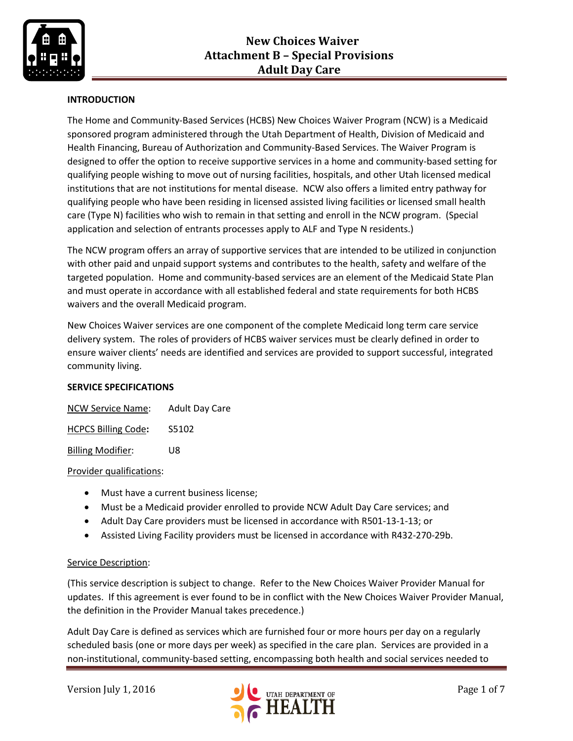

## **INTRODUCTION**

The Home and Community-Based Services (HCBS) New Choices Waiver Program (NCW) is a Medicaid sponsored program administered through the Utah Department of Health, Division of Medicaid and Health Financing, Bureau of Authorization and Community-Based Services. The Waiver Program is designed to offer the option to receive supportive services in a home and community-based setting for qualifying people wishing to move out of nursing facilities, hospitals, and other Utah licensed medical institutions that are not institutions for mental disease. NCW also offers a limited entry pathway for qualifying people who have been residing in licensed assisted living facilities or licensed small health care (Type N) facilities who wish to remain in that setting and enroll in the NCW program. (Special application and selection of entrants processes apply to ALF and Type N residents.)

The NCW program offers an array of supportive services that are intended to be utilized in conjunction with other paid and unpaid support systems and contributes to the health, safety and welfare of the targeted population. Home and community-based services are an element of the Medicaid State Plan and must operate in accordance with all established federal and state requirements for both HCBS waivers and the overall Medicaid program.

New Choices Waiver services are one component of the complete Medicaid long term care service delivery system. The roles of providers of HCBS waiver services must be clearly defined in order to ensure waiver clients' needs are identified and services are provided to support successful, integrated community living.

## **SERVICE SPECIFICATIONS**

| NCW Service Name:          | <b>Adult Day Care</b> |
|----------------------------|-----------------------|
| <b>HCPCS Billing Code:</b> | S5102                 |
| <b>Billing Modifier:</b>   | 1 I R                 |

#### Provider qualifications:

- Must have a current business license;
- Must be a Medicaid provider enrolled to provide NCW Adult Day Care services; and
- Adult Day Care providers must be licensed in accordance with R501-13-1-13; or
- Assisted Living Facility providers must be licensed in accordance with R432-270-29b.

#### Service Description:

(This service description is subject to change. Refer to the New Choices Waiver Provider Manual for updates. If this agreement is ever found to be in conflict with the New Choices Waiver Provider Manual, the definition in the Provider Manual takes precedence.)

Adult Day Care is defined as services which are furnished four or more hours per day on a regularly scheduled basis (one or more days per week) as specified in the care plan. Services are provided in a non-institutional, community-based setting, encompassing both health and social services needed to

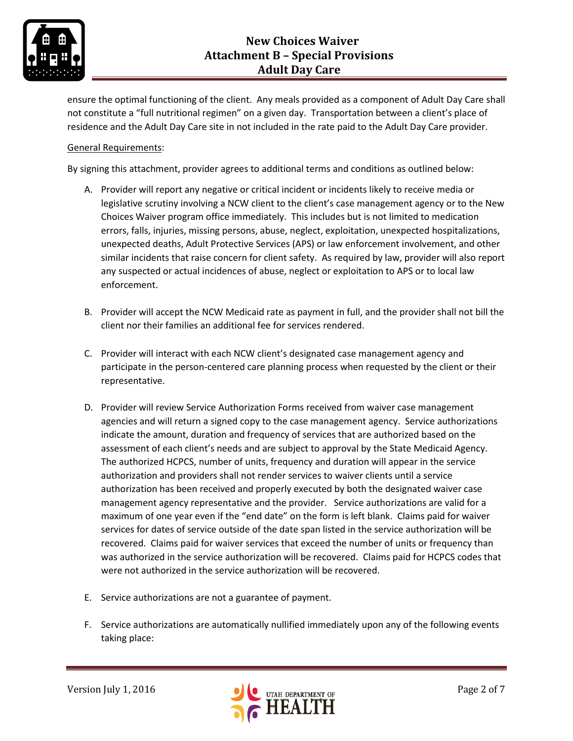

ensure the optimal functioning of the client. Any meals provided as a component of Adult Day Care shall not constitute a "full nutritional regimen" on a given day. Transportation between a client's place of residence and the Adult Day Care site in not included in the rate paid to the Adult Day Care provider.

## General Requirements:

By signing this attachment, provider agrees to additional terms and conditions as outlined below:

- A. Provider will report any negative or critical incident or incidents likely to receive media or legislative scrutiny involving a NCW client to the client's case management agency or to the New Choices Waiver program office immediately. This includes but is not limited to medication errors, falls, injuries, missing persons, abuse, neglect, exploitation, unexpected hospitalizations, unexpected deaths, Adult Protective Services (APS) or law enforcement involvement, and other similar incidents that raise concern for client safety. As required by law, provider will also report any suspected or actual incidences of abuse, neglect or exploitation to APS or to local law enforcement.
- B. Provider will accept the NCW Medicaid rate as payment in full, and the provider shall not bill the client nor their families an additional fee for services rendered.
- C. Provider will interact with each NCW client's designated case management agency and participate in the person-centered care planning process when requested by the client or their representative.
- D. Provider will review Service Authorization Forms received from waiver case management agencies and will return a signed copy to the case management agency. Service authorizations indicate the amount, duration and frequency of services that are authorized based on the assessment of each client's needs and are subject to approval by the State Medicaid Agency. The authorized HCPCS, number of units, frequency and duration will appear in the service authorization and providers shall not render services to waiver clients until a service authorization has been received and properly executed by both the designated waiver case management agency representative and the provider. Service authorizations are valid for a maximum of one year even if the "end date" on the form is left blank. Claims paid for waiver services for dates of service outside of the date span listed in the service authorization will be recovered. Claims paid for waiver services that exceed the number of units or frequency than was authorized in the service authorization will be recovered. Claims paid for HCPCS codes that were not authorized in the service authorization will be recovered.
- E. Service authorizations are not a guarantee of payment.
- F. Service authorizations are automatically nullified immediately upon any of the following events taking place:

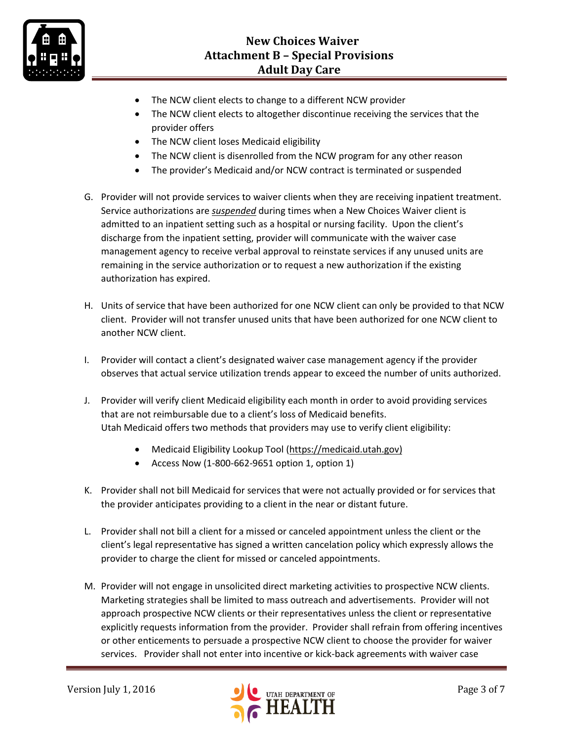

- The NCW client elects to change to a different NCW provider
- The NCW client elects to altogether discontinue receiving the services that the provider offers
- The NCW client loses Medicaid eligibility
- The NCW client is disenrolled from the NCW program for any other reason
- The provider's Medicaid and/or NCW contract is terminated or suspended
- G. Provider will not provide services to waiver clients when they are receiving inpatient treatment. Service authorizations are *suspended* during times when a New Choices Waiver client is admitted to an inpatient setting such as a hospital or nursing facility. Upon the client's discharge from the inpatient setting, provider will communicate with the waiver case management agency to receive verbal approval to reinstate services if any unused units are remaining in the service authorization or to request a new authorization if the existing authorization has expired.
- H. Units of service that have been authorized for one NCW client can only be provided to that NCW client. Provider will not transfer unused units that have been authorized for one NCW client to another NCW client.
- I. Provider will contact a client's designated waiver case management agency if the provider observes that actual service utilization trends appear to exceed the number of units authorized.
- J. Provider will verify client Medicaid eligibility each month in order to avoid providing services that are not reimbursable due to a client's loss of Medicaid benefits. Utah Medicaid offers two methods that providers may use to verify client eligibility:
	- Medicaid Eligibility Lookup Tool [\(https://medicaid.utah.gov\)](https://medicaid.utah.gov/)
	- Access Now (1-800-662-9651 option 1, option 1)
- K. Provider shall not bill Medicaid for services that were not actually provided or for services that the provider anticipates providing to a client in the near or distant future.
- L. Provider shall not bill a client for a missed or canceled appointment unless the client or the client's legal representative has signed a written cancelation policy which expressly allows the provider to charge the client for missed or canceled appointments.
- M. Provider will not engage in unsolicited direct marketing activities to prospective NCW clients. Marketing strategies shall be limited to mass outreach and advertisements. Provider will not approach prospective NCW clients or their representatives unless the client or representative explicitly requests information from the provider. Provider shall refrain from offering incentives or other enticements to persuade a prospective NCW client to choose the provider for waiver services. Provider shall not enter into incentive or kick-back agreements with waiver case

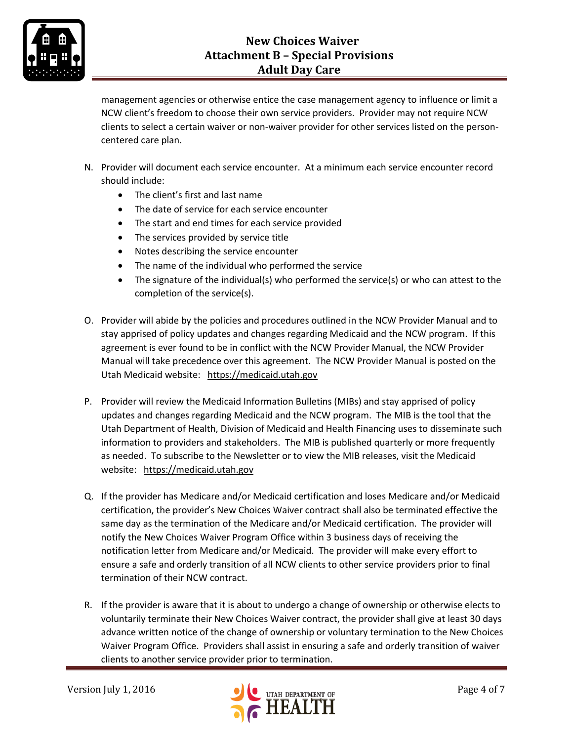

management agencies or otherwise entice the case management agency to influence or limit a NCW client's freedom to choose their own service providers. Provider may not require NCW clients to select a certain waiver or non-waiver provider for other services listed on the personcentered care plan.

- N. Provider will document each service encounter. At a minimum each service encounter record should include:
	- The client's first and last name
	- The date of service for each service encounter
	- The start and end times for each service provided
	- The services provided by service title
	- Notes describing the service encounter
	- The name of the individual who performed the service
	- The signature of the individual(s) who performed the service(s) or who can attest to the completion of the service(s).
- O. Provider will abide by the policies and procedures outlined in the NCW Provider Manual and to stay apprised of policy updates and changes regarding Medicaid and the NCW program. If this agreement is ever found to be in conflict with the NCW Provider Manual, the NCW Provider Manual will take precedence over this agreement. The NCW Provider Manual is posted on the Utah Medicaid website: [https://medicaid.utah.gov](https://medicaid.utah.gov/)
- P. Provider will review the Medicaid Information Bulletins (MIBs) and stay apprised of policy updates and changes regarding Medicaid and the NCW program. The MIB is the tool that the Utah Department of Health, Division of Medicaid and Health Financing uses to disseminate such information to providers and stakeholders. The MIB is published quarterly or more frequently as needed. To subscribe to the Newsletter or to view the MIB releases, visit the Medicaid website: [https://medicaid.utah.gov](https://medicaid.utah.gov/)
- Q. If the provider has Medicare and/or Medicaid certification and loses Medicare and/or Medicaid certification, the provider's New Choices Waiver contract shall also be terminated effective the same day as the termination of the Medicare and/or Medicaid certification. The provider will notify the New Choices Waiver Program Office within 3 business days of receiving the notification letter from Medicare and/or Medicaid. The provider will make every effort to ensure a safe and orderly transition of all NCW clients to other service providers prior to final termination of their NCW contract.
- R. If the provider is aware that it is about to undergo a change of ownership or otherwise elects to voluntarily terminate their New Choices Waiver contract, the provider shall give at least 30 days advance written notice of the change of ownership or voluntary termination to the New Choices Waiver Program Office. Providers shall assist in ensuring a safe and orderly transition of waiver clients to another service provider prior to termination.

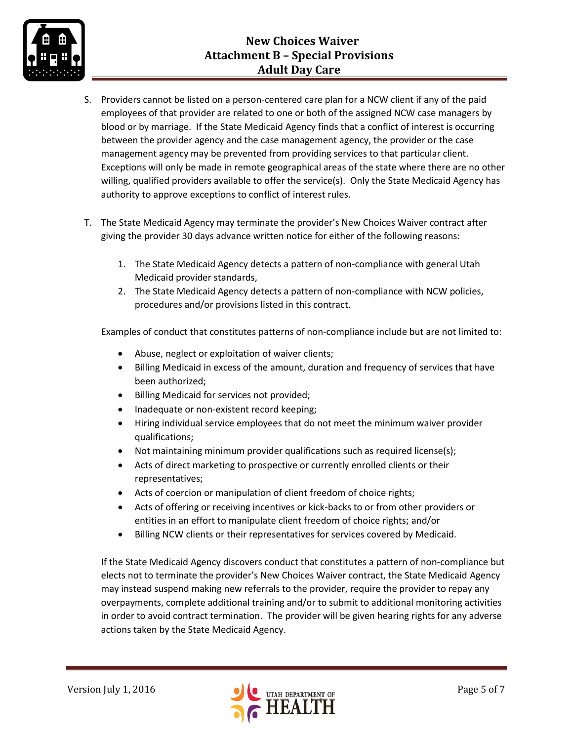# **New Choices Waiver Attachment B – Special Provisions Adult Day Care**



- S. Providers cannot be listed on a person-centered care plan for a NCW client if any of the paid employees of that provider are related to one or both of the assigned NCW case managers by blood or by marriage. If the State Medicaid Agency finds that a conflict of interest is occurring between the provider agency and the case management agency, the provider or the case management agency may be prevented from providing services to that particular client. Exceptions will only be made in remote geographical areas of the state where there are no other willing, qualified providers available to offer the service(s). Only the State Medicaid Agency has authority to approve exceptions to conflict of interest rules.
- T. The State Medicaid Agency may terminate the provider's New Choices Waiver contract after giving the provider 30 days advance written notice for either of the following reasons:
	- 1. The State Medicaid Agency detects a pattern of non-compliance with general Utah Medicaid provider standards,
	- 2. The State Medicaid Agency detects a pattern of non-compliance with NCW policies, procedures and/or provisions listed in this contract.

Examples of conduct that constitutes patterns of non-compliance include but are not limited to:

- Abuse, neglect or exploitation of waiver clients;
- Billing Medicaid in excess of the amount, duration and frequency of services that have been authorized;
- **•** Billing Medicaid for services not provided;
- Inadequate or non-existent record keeping;
- Hiring individual service employees that do not meet the minimum waiver provider qualifications;
- Not maintaining minimum provider qualifications such as required license(s);
- Acts of direct marketing to prospective or currently enrolled clients or their representatives;
- Acts of coercion or manipulation of client freedom of choice rights;
- Acts of offering or receiving incentives or kick-backs to or from other providers or entities in an effort to manipulate client freedom of choice rights; and/or
- Billing NCW clients or their representatives for services covered by Medicaid.

If the State Medicaid Agency discovers conduct that constitutes a pattern of non-compliance but elects not to terminate the provider's New Choices Waiver contract, the State Medicaid Agency may instead suspend making new referrals to the provider, require the provider to repay any overpayments, complete additional training and/or to submit to additional monitoring activities in order to avoid contract termination. The provider will be given hearing rights for any adverse actions taken by the State Medicaid Agency.

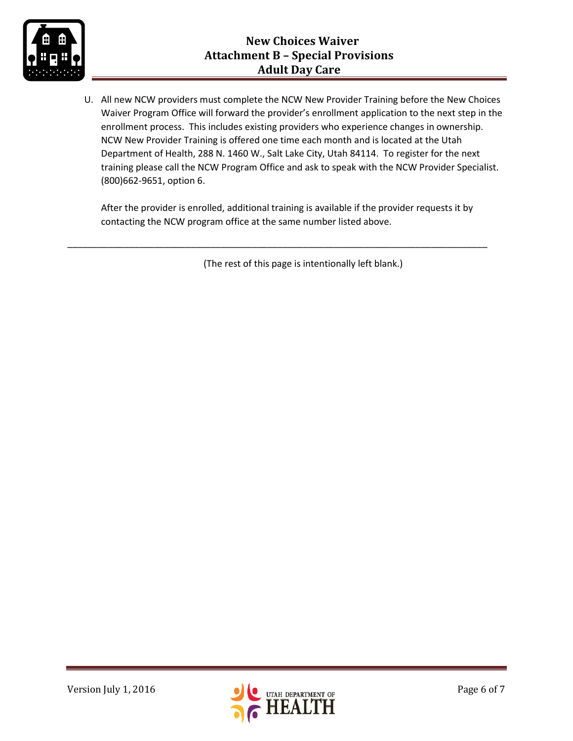

U. All new NCW providers must complete the NCW New Provider Training before the New Choices Waiver Program Office will forward the provider's enrollment application to the next step in the enrollment process. This includes existing providers who experience changes in ownership. NCW New Provider Training is offered one time each month and is located at the Utah Department of Health, 288 N. 1460 W., Salt Lake City, Utah 84114. To register for the next training please call the NCW Program Office and ask to speak with the NCW Provider Specialist. (800)662-9651, option 6.

After the provider is enrolled, additional training is available if the provider requests it by contacting the NCW program office at the same number listed above.

\_\_\_\_\_\_\_\_\_\_\_\_\_\_\_\_\_\_\_\_\_\_\_\_\_\_\_\_\_\_\_\_\_\_\_\_\_\_\_\_\_\_\_\_\_\_\_\_\_\_\_\_\_\_\_\_\_\_\_\_\_\_\_\_\_\_\_\_\_\_\_\_\_\_\_\_\_\_\_\_\_\_

(The rest of this page is intentionally left blank.)